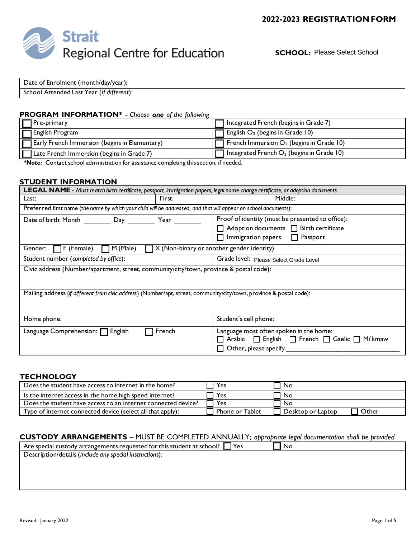

**SCHOOL:** Please Select School

| Date of Enrolment (month/day/year):       |  |
|-------------------------------------------|--|
| School Attended Last Year (if different): |  |

#### **PROGRAM INFORMATION\*** - *Choose one of the following*

| <b>Pre-primary</b>                                   | 1 Integrated French (begins in Grade 7)                    |
|------------------------------------------------------|------------------------------------------------------------|
| English Program                                      | $\Box$ English $O_2$ (begins in Grade 10)                  |
| <b>Early French Immersion (begins in Elementary)</b> | $\overline{1}$ French Immersion $O_2$ (begins in Grade 10) |
| Late French Immersion (begins in Grade 7)            | Integrated French $O_2$ (begins in Grade 10)               |

*\*Note:* Contact school administration for assistance completing this section, if needed.

#### **STUDENT INFORMATION**

| <b>LEGAL NAME</b> - Must match birth certificate, passport, immigration papers, legal name change certificate, or adoption documents |                                                                                                                                                     |  |  |
|--------------------------------------------------------------------------------------------------------------------------------------|-----------------------------------------------------------------------------------------------------------------------------------------------------|--|--|
| First:<br>Last:                                                                                                                      | Middle:                                                                                                                                             |  |  |
| Preferred first name (the name by which your child will be addressed, and that will appear on school documents):                     |                                                                                                                                                     |  |  |
| Date of birth: Month ___________ Day ____________ Year ________                                                                      | Proof of identity (must be presented to office):<br>$\Box$ Adoption documents $\Box$ Birth certificate<br>$\Box$ Immigration papers $\Box$ Passport |  |  |
| M (Male)<br>$\Box X$ (Non-binary or another gender identity)<br>Gender:<br>$\Box$ F (Female)                                         |                                                                                                                                                     |  |  |
| Student number (completed by office):<br>Grade level: Please Select Grade Level                                                      |                                                                                                                                                     |  |  |
| Civic address (Number/apartment, street, community/city/town, province & postal code):                                               |                                                                                                                                                     |  |  |
| Mailing address (if different from civic address) (Number/apt, street, community/city/town, province & postal code):                 |                                                                                                                                                     |  |  |
| Home phone:                                                                                                                          | Student's cell phone:                                                                                                                               |  |  |
| Language Comprehension:   English<br>French                                                                                          | Language most often spoken in the home:<br>□ Arabic □ English □ French □ Gaelic □ Mi'kmaw<br>$\Box$ Other, please specify                           |  |  |

#### **TECHNOLOGY**

| 'Yes                   | No                |       |
|------------------------|-------------------|-------|
| Yes                    | No                |       |
| Yes                    | No                |       |
| <b>Phone or Tablet</b> | Desktop or Laptop | Other |
|                        |                   |       |

#### **CUSTODY ARRANGEMENTS** – MUST BE COMPLETED ANNUALLY; *appropriate legal documentation shall be provided*

Are special custody arrangements requested for this student at school?  $\Box$  Yes  $\Box$  No Description/details (*include any special instructions*):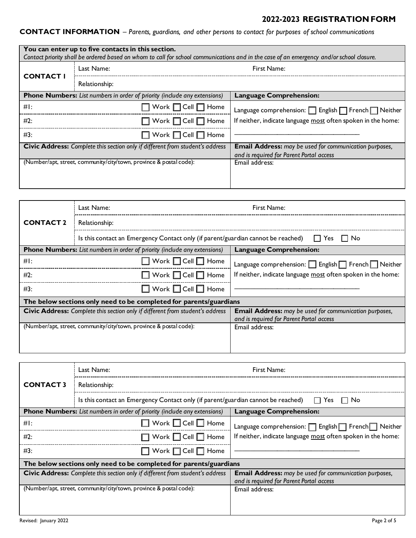# **CONTACT INFORMATION** – *Parents, guardians, and other persons to contact for purposes of school communications*

|                  | You can enter up to five contacts in this section.                 |                                                                                  | Contact priority shall be ordered based on whom to call for school communications and in the case of an emergency and/or school closure. |
|------------------|--------------------------------------------------------------------|----------------------------------------------------------------------------------|------------------------------------------------------------------------------------------------------------------------------------------|
|                  | Last Name:                                                         |                                                                                  | First Name:                                                                                                                              |
| <b>CONTACT I</b> | Relationship:                                                      |                                                                                  |                                                                                                                                          |
|                  |                                                                    | <b>Phone Numbers:</b> List numbers in order of priority (include any extensions) | <b>Language Comprehension:</b>                                                                                                           |
| $#$ :            |                                                                    | $\Box$ Work $\Box$ Cell $\Box$ Home                                              | Language comprehension: $\Box$ English $\Box$ French $\Box$ Neither                                                                      |
| #2:              |                                                                    | □ Work □ Cell □ Home                                                             | If neither, indicate language most often spoken in the home:                                                                             |
| #3:              |                                                                    | $\Box$ Work $\Box$ Cell $\Box$ Home                                              |                                                                                                                                          |
|                  |                                                                    | Civic Address: Complete this section only if different from student's address    | <b>Email Address:</b> may be used for communication purposes,<br>and is required for Parent Portal access                                |
|                  | (Number/apt, street, community/city/town, province & postal code): |                                                                                  | Email address:                                                                                                                           |
|                  |                                                                    |                                                                                  |                                                                                                                                          |

|                  | Last Name:                                                                                            | First Name:                                                                                               |  |
|------------------|-------------------------------------------------------------------------------------------------------|-----------------------------------------------------------------------------------------------------------|--|
| <b>CONTACT 2</b> | Relationship:                                                                                         |                                                                                                           |  |
|                  | Is this contact an Emergency Contact only (if parent/guardian cannot be reached) $\Box$ Yes $\Box$ No |                                                                                                           |  |
|                  | <b>Phone Numbers:</b> List numbers in order of priority (include any extensions)                      | <b>Language Comprehension:</b>                                                                            |  |
| $#$ :            | $\Box$ Work $\Box$ Cell $\Box$ Home                                                                   | Language comprehension: $\Box$ English $\Box$ French $\Box$ Neither                                       |  |
| #2:              | $\Box$ Work $\Box$ Cell $\Box$ Home                                                                   | If neither, indicate language most often spoken in the home:                                              |  |
| #3:              | $\Box$ Work $\Box$ Cell $\Box$ Home                                                                   |                                                                                                           |  |
|                  | The below sections only need to be completed for parents/guardians                                    |                                                                                                           |  |
|                  | Civic Address: Complete this section only if different from student's address                         | <b>Email Address:</b> may be used for communication purposes,<br>and is required for Parent Portal access |  |
|                  | (Number/apt, street, community/city/town, province & postal code):                                    | Email address:                                                                                            |  |
|                  |                                                                                                       |                                                                                                           |  |
|                  |                                                                                                       |                                                                                                           |  |

|                                  | Last Name:                                                                                            | First Name:                                                                                               |  |
|----------------------------------|-------------------------------------------------------------------------------------------------------|-----------------------------------------------------------------------------------------------------------|--|
| <b>CONTACT3</b><br>Relationship: |                                                                                                       |                                                                                                           |  |
|                                  | Is this contact an Emergency Contact only (if parent/guardian cannot be reached)<br>l l Yes<br>l I No |                                                                                                           |  |
|                                  | <b>Phone Numbers:</b> List numbers in order of priority (include any extensions)                      | <b>Language Comprehension:</b>                                                                            |  |
| #I:                              | $\Box$ Work $\Box$ Cell $\Box$ Home                                                                   | Language comprehension: $\Box$ English $\Box$ French $\Box$ Neither                                       |  |
| #2:                              | $\Box$ Work $\Box$ Cell $\Box$ Home                                                                   | If neither, indicate language most often spoken in the home:                                              |  |
| #3:                              | $\Box$ Work $\Box$ Cell $\Box$ Home                                                                   |                                                                                                           |  |
|                                  | The below sections only need to be completed for parents/guardians                                    |                                                                                                           |  |
|                                  | <b>Civic Address:</b> Complete this section only if different from student's address                  | <b>Email Address:</b> may be used for communication purposes,<br>and is required for Parent Portal access |  |
|                                  | (Number/apt, street, community/city/town, province & postal code):                                    | Email address:                                                                                            |  |
|                                  |                                                                                                       |                                                                                                           |  |
|                                  |                                                                                                       |                                                                                                           |  |
| Revised: January 2022            |                                                                                                       | Page 2 of 5                                                                                               |  |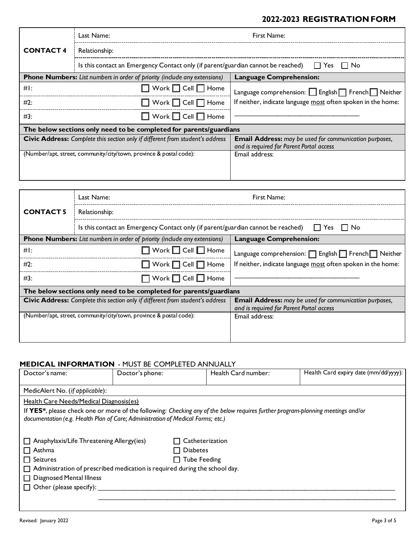|                                                                                                    | Last Name:                                                                       | First Name:                                                                                               |
|----------------------------------------------------------------------------------------------------|----------------------------------------------------------------------------------|-----------------------------------------------------------------------------------------------------------|
| <b>CONTACT4</b>                                                                                    | Relationship:                                                                    |                                                                                                           |
| Is this contact an Emergency Contact only (if parent/guardian cannot be reached)<br>II Yes<br>IINo |                                                                                  |                                                                                                           |
|                                                                                                    | <b>Phone Numbers:</b> List numbers in order of priority (include any extensions) | Language Comprehension:                                                                                   |
| $#$ :                                                                                              | $\Box$ Work $\Box$ Cell $\Box$ Home                                              | Language comprehension: English   French   Neither                                                        |
| #2:                                                                                                | $\Box$ Work $\Box$ Cell $\Box$ Home                                              | If neither, indicate language most often spoken in the home:                                              |
| #3:                                                                                                | $\Box$ Work $\Box$ Cell $\Box$ Home                                              |                                                                                                           |
|                                                                                                    | The below sections only need to be completed for parents/guardians               |                                                                                                           |
|                                                                                                    | Civic Address: Complete this section only if different from student's address    | <b>Email Address:</b> may be used for communication purposes,<br>and is required for Parent Portal access |
|                                                                                                    | (Number/apt, street, community/city/town, province & postal code):               | Email address:                                                                                            |
|                                                                                                    |                                                                                  |                                                                                                           |
|                                                                                                    |                                                                                  |                                                                                                           |

|                                                                                                       | Last Name:                                                                       | First Name:                                                                                               |  |
|-------------------------------------------------------------------------------------------------------|----------------------------------------------------------------------------------|-----------------------------------------------------------------------------------------------------------|--|
| <b>CONTACT 5</b>                                                                                      | Relationship:                                                                    |                                                                                                           |  |
| Is this contact an Emergency Contact only (if parent/guardian cannot be reached) $\Box$ Yes $\Box$ No |                                                                                  |                                                                                                           |  |
|                                                                                                       | <b>Phone Numbers:</b> List numbers in order of priority (include any extensions) | <b>Language Comprehension:</b>                                                                            |  |
| $#$ :                                                                                                 | $\Box$ Work $\Box$ Cell $\Box$ Home                                              | Language comprehension:   English   French   Neither                                                      |  |
| #2:                                                                                                   | $\Box$ Work $\Box$ Cell $\Box$ Home                                              | If neither, indicate language most often spoken in the home:                                              |  |
| #3:                                                                                                   | $\Box$ Work $\Box$ Cell $\Box$ Home                                              |                                                                                                           |  |
|                                                                                                       | The below sections only need to be completed for parents/guardians               |                                                                                                           |  |
|                                                                                                       | Civic Address: Complete this section only if different from student's address    | <b>Email Address:</b> may be used for communication purposes,<br>and is required for Parent Portal access |  |
|                                                                                                       | (Number/apt, street, community/city/town, province & postal code):               | Email address:                                                                                            |  |
|                                                                                                       |                                                                                  |                                                                                                           |  |
|                                                                                                       |                                                                                  |                                                                                                           |  |

## **MEDICAL INFORMATION** - MUST BE COMPLETED ANNUALLY

| Doctor's name:                                                                    | Doctor's phone: | Health Card number:                                                                                                             | Health Card expiry date (mm/dd/yyyy): |
|-----------------------------------------------------------------------------------|-----------------|---------------------------------------------------------------------------------------------------------------------------------|---------------------------------------|
| MedicAlert No. (if applicable):                                                   |                 |                                                                                                                                 |                                       |
| Health Care Needs/Medical Diagnosis(es)                                           |                 |                                                                                                                                 |                                       |
| documentation (e.g. Health Plan of Care; Administration of Medical Forms; etc.)   |                 | If YES*, please check one or more of the following: Checking any of the below requires further program-planning meetings and/or |                                       |
| $\Box$ Anaphylaxis/Life Threatening Allergy(ies)                                  |                 | $\Box$ Catheterization                                                                                                          |                                       |
| $\Box$ Asthma                                                                     | $\Box$ Diabetes |                                                                                                                                 |                                       |
| $\Box$ Seizures                                                                   |                 | $\Box$ Tube Feeding                                                                                                             |                                       |
| $\Box$ Administration of prescribed medication is required during the school day. |                 |                                                                                                                                 |                                       |
| □ Diagnosed Mental Illness                                                        |                 |                                                                                                                                 |                                       |
| $\Box$ Other (please specify):                                                    |                 |                                                                                                                                 |                                       |
|                                                                                   |                 |                                                                                                                                 |                                       |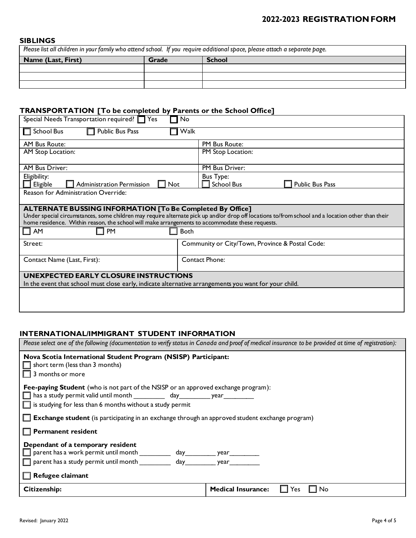#### **SIBLINGS**

*Please list all children in your family who attend school. If you require additional space, please attach a separate page.*

| Name (Last, First) | Grade | <b>School</b> |
|--------------------|-------|---------------|
|                    |       |               |
|                    |       |               |
|                    |       |               |

### **TRANSPORTATION [To be completed by Parents or the School Office]**

| Special Needs Transportation required? Tes<br>No                                                                                                                                                                                                     |                                                 |  |  |
|------------------------------------------------------------------------------------------------------------------------------------------------------------------------------------------------------------------------------------------------------|-------------------------------------------------|--|--|
| Public Bus Pass<br>Walk<br><b>School Bus</b>                                                                                                                                                                                                         |                                                 |  |  |
| <b>AM Bus Route:</b>                                                                                                                                                                                                                                 | PM Bus Route:                                   |  |  |
| AM Stop Location:                                                                                                                                                                                                                                    | PM Stop Location:                               |  |  |
| <b>AM Bus Driver:</b>                                                                                                                                                                                                                                | PM Bus Driver:                                  |  |  |
| Eligibility:                                                                                                                                                                                                                                         | <b>Bus Type:</b>                                |  |  |
| Eligible<br>Administration Permission<br>$\Box$ Not                                                                                                                                                                                                  | <b>School Bus</b><br>Public Bus Pass            |  |  |
| Reason for Administration Override:                                                                                                                                                                                                                  |                                                 |  |  |
| <b>ALTERNATE BUSSING INFORMATION [To Be Completed By Office]</b>                                                                                                                                                                                     |                                                 |  |  |
| Under special circumstances, some children may require alternate pick up and/or drop off locations to/from school and a location other than their<br>home residence. Within reason, the school will make arrangements to accommodate these requests. |                                                 |  |  |
| $\Box$ AM<br><b>PM</b><br><b>Both</b>                                                                                                                                                                                                                |                                                 |  |  |
| Street:                                                                                                                                                                                                                                              | Community or City/Town, Province & Postal Code: |  |  |
| <b>Contact Phone:</b><br>Contact Name (Last, First):                                                                                                                                                                                                 |                                                 |  |  |
| UNEXPECTED EARLY CLOSURE INSTRUCTIONS                                                                                                                                                                                                                |                                                 |  |  |
| In the event that school must close early, indicate alternative arrangements you want for your child.                                                                                                                                                |                                                 |  |  |
|                                                                                                                                                                                                                                                      |                                                 |  |  |
|                                                                                                                                                                                                                                                      |                                                 |  |  |
|                                                                                                                                                                                                                                                      |                                                 |  |  |

### **INTERNATIONAL/IMMIGRANT STUDENT INFORMATION**

| Please select one of the following (documentation to verify status in Canada and proof of medical insurance to be provided at time of registration):                                                                                                                                                                                                |                                        |  |
|-----------------------------------------------------------------------------------------------------------------------------------------------------------------------------------------------------------------------------------------------------------------------------------------------------------------------------------------------------|----------------------------------------|--|
| Nova Scotia International Student Program (NSISP) Participant:<br>$\Box$ short term (less than 3 months)<br>$\Box$ 3 months or more                                                                                                                                                                                                                 |                                        |  |
| Fee-paying Student (who is not part of the NSISP or an approved exchange program):<br>has a study permit valid until month ___________ day __________ year __________<br>$\Box$ is studying for less than 6 months without a study permit<br>$\Box$ Exchange student (is participating in an exchange through an approved student exchange program) |                                        |  |
| $\Box$ Permanent resident                                                                                                                                                                                                                                                                                                                           |                                        |  |
| Dependant of a temporary resident<br>parent has a work permit until month _________<br>parent has a study permit until month<br>day year<br>$\Box$ Refugee claimant                                                                                                                                                                                 |                                        |  |
| Citizenship:                                                                                                                                                                                                                                                                                                                                        | <b>Medical Insurance:</b><br>No<br>Yes |  |